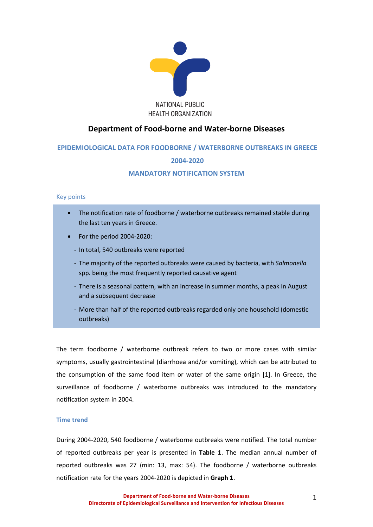

# **Department of Food-borne and Water-borne Diseases**

# **EPIDEMIOLOGICAL DATA FOR FOODBORNE / WATERBORNE OUTBREAKS IN GREECE**

# **2004-2020**

## **MANDATORY NOTIFICATION SYSTEM**

## Key points

- The notification rate of foodborne / waterborne outbreaks remained stable during the last ten years in Greece.
- For the period 2004-2020:
	- In total, 540 outbreaks were reported
	- The majority of the reported outbreaks were caused by bacteria, with *Salmonella* spp. being the most frequently reported causative agent
	- There is a seasonal pattern, with an increase in summer months, a peak in August and a subsequent decrease
	- More than half of the reported outbreaks regarded only one household (domestic outbreaks)

The term foodborne / waterborne outbreak refers to two or more cases with similar symptoms, usually gastrointestinal (diarrhoea and/or vomiting), which can be attributed to the consumption of the same food item or water of the same origin [1]. In Greece, the surveillance of foodborne / waterborne outbreaks was introduced to the mandatory notification system in 2004.

## **Time trend**

During 2004-2020, 540 foodborne / waterborne outbreaks were notified. The total number of reported outbreaks per year is presented in **Table 1**. The median annual number of reported outbreaks was 27 (min: 13, max: 54). The foodborne / waterborne outbreaks notification rate for the years 2004-2020 is depicted in **Graph 1**.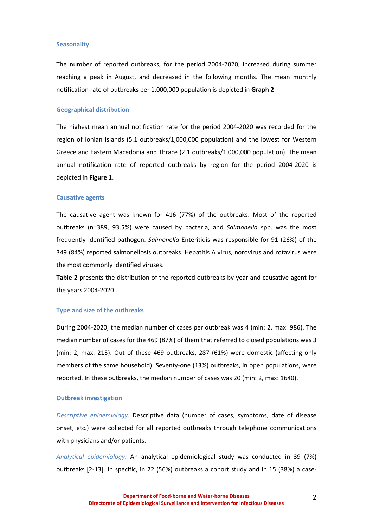### **Seasonality**

The number of reported outbreaks, for the period 2004-2020, increased during summer reaching a peak in August, and decreased in the following months. The mean monthly notification rate of outbreaks per 1,000,000 population is depicted in **Graph 2**.

### **Geographical distribution**

The highest mean annual notification rate for the period 2004-2020 was recorded for the region of Ionian Islands (5.1 outbreaks/1,000,000 population) and the lowest for Western Greece and Eastern Macedonia and Thrace (2.1 outbreaks/1,000,000 population). The mean annual notification rate of reported outbreaks by region for the period 2004-2020 is depicted in **Figure 1**.

#### **Causative agents**

The causative agent was known for 416 (77%) of the outbreaks. Most of the reported outbreaks (n=389, 93.5%) were caused by bacteria, and *Salmonella* spp. was the most frequently identified pathogen. *Salmonella* Enteritidis was responsible for 91 (26%) of the 349 (84%) reported salmonellosis outbreaks. Hepatitis A virus, norovirus and rotavirus were the most commonly identified viruses.

**Table 2** presents the distribution of the reported outbreaks by year and causative agent for the years 2004-2020.

#### **Type and size of the outbreaks**

During 2004-2020, the median number of cases per outbreak was 4 (min: 2, max: 986). The median number of cases for the 469 (87%) of them that referred to closed populations was 3 (min: 2, max: 213). Out of these 469 outbreaks, 287 (61%) were domestic (affecting only members of the same household). Seventy-one (13%) outbreaks, in open populations, were reported. In these outbreaks, the median number of cases was 20 (min: 2, max: 1640).

#### **Outbreak investigation**

*Descriptive epidemiology:* Descriptive data (number of cases, symptoms, date of disease onset, etc.) were collected for all reported outbreaks through telephone communications with physicians and/or patients.

*Analytical epidemiology:* An analytical epidemiological study was conducted in 39 (7%) outbreaks [2-13]. In specific, in 22 (56%) outbreaks a cohort study and in 15 (38%) a case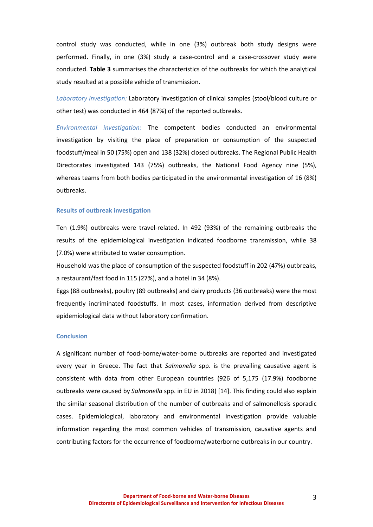control study was conducted, while in one (3%) outbreak both study designs were performed. Finally, in one (3%) study a case-control and a case-crossover study were conducted. **Table 3** summarises the characteristics of the outbreaks for which the analytical study resulted at a possible vehicle of transmission.

*Laboratory investigation:* Laboratory investigation of clinical samples (stool/blood culture or other test) was conducted in 464 (87%) of the reported outbreaks.

*Environmental investigation:* The competent bodies conducted an environmental investigation by visiting the place of preparation or consumption of the suspected foodstuff/meal in 50 (75%) open and 138 (32%) closed outbreaks. The Regional Public Health Directorates investigated 143 (75%) outbreaks, the National Food Agency nine (5%), whereas teams from both bodies participated in the environmental investigation of 16 (8%) outbreaks.

### **Results of outbreak investigation**

Ten (1.9%) outbreaks were travel-related. In 492 (93%) of the remaining outbreaks the results of the epidemiological investigation indicated foodborne transmission, while 38 (7.0%) were attributed to water consumption.

Household was the place of consumption of the suspected foodstuff in 202 (47%) outbreaks, a restaurant/fast food in 115 (27%), and a hotel in 34 (8%).

Eggs (88 outbreaks), poultry (89 outbreaks) and dairy products (36 outbreaks) were the most frequently incriminated foodstuffs. In most cases, information derived from descriptive epidemiological data without laboratory confirmation.

## **Conclusion**

A significant number of food-borne/water-borne outbreaks are reported and investigated every year in Greece. The fact that *Salmonella* spp. is the prevailing causative agent is consistent with data from other European countries (926 of 5,175 (17.9%) foodborne outbreaks were caused by *Salmonella* spp. in EU in 2018) [14]. This finding could also explain the similar seasonal distribution of the number of outbreaks and of salmonellosis sporadic cases. Epidemiological, laboratory and environmental investigation provide valuable information regarding the most common vehicles of transmission, causative agents and contributing factors for the occurrence of foodborne/waterborne outbreaks in our country.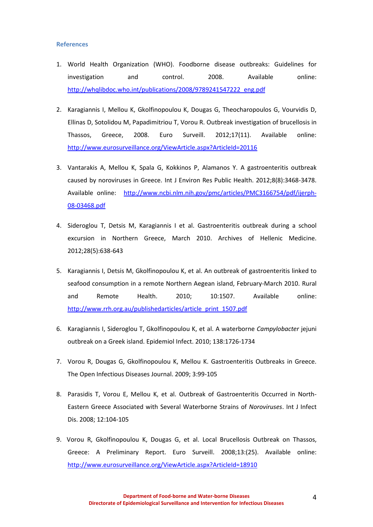## **References**

- 1. World Health Organization (WHO). Foodborne disease outbreaks: Guidelines for investigation and control. 2008. Available online: [http://whqlibdoc.who.int/publications/2008/9789241547222\\_eng.pdf](http://whqlibdoc.who.int/publications/2008/9789241547222_eng.pdf)
- 2. Karagiannis I, Mellou K, Gkolfinopoulou K, Dougas G, Theocharopoulos G, Vourvidis D, Ellinas D, Sotolidou M, Papadimitriou T, Vorou R. Outbreak investigation of brucellosis in Thassos, Greece, 2008. Euro Surveill. 2012;17(11). Available online: <http://www.eurosurveillance.org/ViewArticle.aspx?ArticleId=20116>
- 3. [Vantarakis A,](http://www.ncbi.nlm.nih.gov/pubmed?term=Vantarakis%20A%5BAuthor%5D&cauthor=true&cauthor_uid=21909318) [Mellou K,](http://www.ncbi.nlm.nih.gov/pubmed?term=Mellou%20K%5BAuthor%5D&cauthor=true&cauthor_uid=21909318) [Spala G,](http://www.ncbi.nlm.nih.gov/pubmed?term=Spala%20G%5BAuthor%5D&cauthor=true&cauthor_uid=21909318) [Kokkinos P,](http://www.ncbi.nlm.nih.gov/pubmed?term=Kokkinos%20P%5BAuthor%5D&cauthor=true&cauthor_uid=21909318) [Alamanos Y.](http://www.ncbi.nlm.nih.gov/pubmed?term=Alamanos%20Y%5BAuthor%5D&cauthor=true&cauthor_uid=21909318) A gastroenteritis outbreak caused by noroviruses in Greece. [Int J Environ Res Public Health.](http://www.ncbi.nlm.nih.gov/pubmed/21909318) 2012;8(8):3468-3478. Available online: [http://www.ncbi.nlm.nih.gov/pmc/articles/PMC3166754/pdf/ijerph-](http://www.ncbi.nlm.nih.gov/pmc/articles/PMC3166754/pdf/ijerph-08-03468.pdf)[08-03468.pdf](http://www.ncbi.nlm.nih.gov/pmc/articles/PMC3166754/pdf/ijerph-08-03468.pdf)
- 4. Sideroglou T, Detsis M, Karagiannis I et al. Gastroenteritis outbreak during a school excursion in Northern Greece, March 2010. Archives of Hellenic Medicine. 2012;28(5):638-643
- 5. Karagiannis I, Detsis M, Gkolfinopoulou K, et al. An outbreak of gastroenteritis linked to seafood consumption in a remote Northern Aegean island, February-March 2010. Rural and Remote Health. 2010; 10:1507. Available online: [http://www.rrh.org.au/publishedarticles/article\\_print\\_1507.pdf](http://www.rrh.org.au/publishedarticles/article_print_1507.pdf)
- 6. Karagiannis I, Sideroglou T, Gkolfinopoulou K, et al. A waterborne *Campylobacter* jejuni outbreak on a Greek island[. Epidemiol Infect.](http://journals.cambridge.org/action/displayJournal?jid=HYG) 2010; 138:1726-1734
- 7. Vorou R, Dougas G, Gkolfinopoulou K, Mellou K. Gastroenteritis Outbreaks in Greece. The Open Infectious Diseases Journal. 2009; 3:99-105
- 8. Parasidis T, Vorou E, Mellou K, et al. Outbreak of Gastroenteritis Occurred in North-Eastern Greece Associated with Several Waterborne Strains of *Noroviruses*. Int J Infect Dis. 2008; 12:104-105
- 9. Vorou R, Gkolfinopoulou K, Dougas G, et al. Local Brucellosis Outbreak οn Thassos, Greece: A Preliminary Report. Euro Surveill. 2008;13:(25). Available online: <http://www.eurosurveillance.org/ViewArticle.aspx?ArticleId=18910>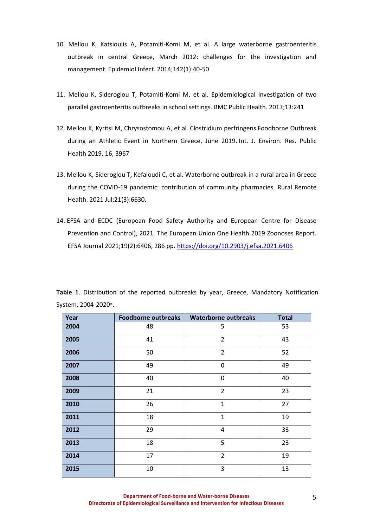- 10. Mellou K, Katsioulis A, Potamiti-Komi M, et al. A large waterborne gastroenteritis outbreak in central Greece, March 2012: challenges for the investigation and management. Epidemiol Infect. 2014;142(1):40-50
- 11. Mellou K, Sideroglou T, Potamiti-Komi M, et al. [Epidemiological investigation of two](http://www.ncbi.nlm.nih.gov/pubmed/23510408)  [parallel gastroenteritis outbreaks in school settings.](http://www.ncbi.nlm.nih.gov/pubmed/23510408) BMC Public Health. 2013;13:241
- 12. Mellou K, Kyritsi M, Chrysostomou A, et al. Clostridium perfringens Foodborne Outbreak during an Athletic Event in Northern Greece, June 2019. Int. J. Environ. Res. Public Health 2019, 16, 3967
- 13. Mellou K, Sideroglou T, Kefaloudi C, et al. Waterborne outbreak in a rural area in Greece during the COVID-19 pandemic: contribution of community pharmacies. Rural Remote Health. 2021 Jul;21(3):6630.
- 14. EFSA and ECDC (European Food Safety Authority and European Centre for Disease Prevention and Control), 2021. The European Union One Health 2019 Zoonoses Report. EFSA Journal 2021;19(2):6406, 286 pp[. https://doi.org/10.2903/j.efsa.2021.6406](https://doi.org/10.2903/j.efsa.2021.6406)

| Year | <b>Foodborne outbreaks</b> | <b>Waterborne outbreaks</b> | <b>Total</b> |
|------|----------------------------|-----------------------------|--------------|
| 2004 | 48                         | 5                           | 53           |
| 2005 | 41                         | $\overline{2}$              | 43           |
| 2006 | 50                         | $\overline{2}$              | 52           |
| 2007 | 49                         | 0                           | 49           |
| 2008 | 40                         | 0                           | 40           |
| 2009 | 21                         | $\overline{2}$              | 23           |
| 2010 | 26                         | $\mathbf 1$                 | 27           |
| 2011 | 18                         | $\mathbf{1}$                | 19           |
| 2012 | 29                         | $\overline{\mathbf{4}}$     | 33           |
| 2013 | 18                         | 5                           | 23           |
| 2014 | 17                         | $\overline{2}$              | 19           |
| 2015 | 10                         | 3                           | 13           |

**Table 1**. Distribution of the reported outbreaks by year, Greece, Mandatory Notification System, 2004-2020\*.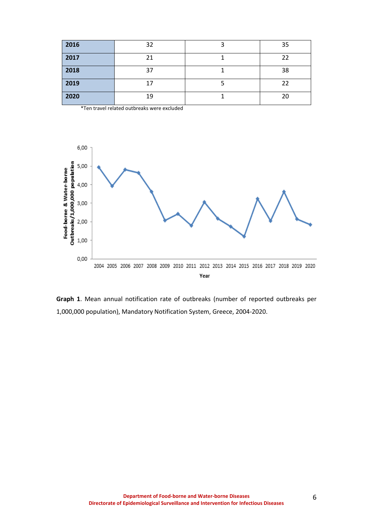| 2016 | 32 | 35 |
|------|----|----|
| 2017 | 21 | 22 |
| 2018 | 37 | 38 |
| 2019 | 17 | 22 |
| 2020 | 19 | 20 |

\*Ten travel related outbreaks were excluded



**Graph 1**. Mean annual notification rate of outbreaks (number of reported outbreaks per 1,000,000 population), Mandatory Notification System, Greece, 2004-2020.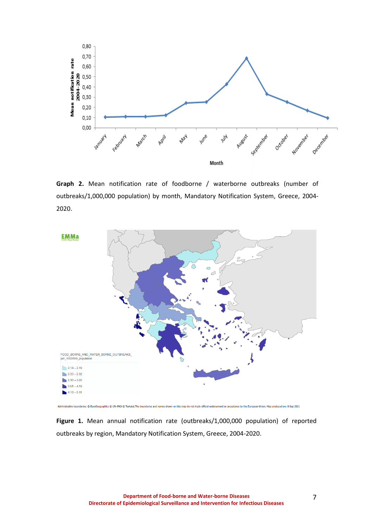

**Graph 2.** Mean notification rate of foodborne / waterborne outbreaks (number of outbreaks/1,000,000 population) by month, Mandatory Notification System, Greece, 2004- 2020.



**Figure 1.** Mean annual notification rate (outbreaks/1,000,000 population) of reported outbreaks by region, Mandatory Notification System, Greece, 2004-2020.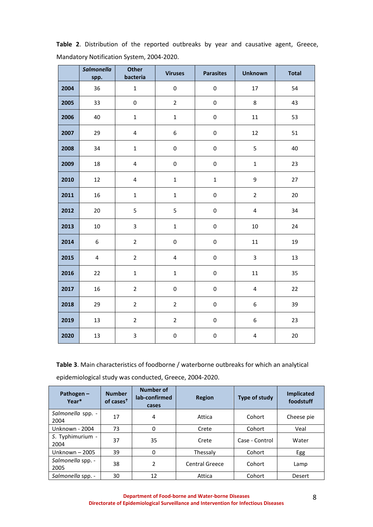|      | <b>Salmonella</b><br>spp. | <b>Other</b><br>bacteria | <b>Viruses</b>          | <b>Parasites</b> | <b>Unknown</b>          | <b>Total</b> |
|------|---------------------------|--------------------------|-------------------------|------------------|-------------------------|--------------|
| 2004 | 36                        | $\mathbf 1$              | $\pmb{0}$               | $\pmb{0}$        | 17                      | 54           |
| 2005 | 33                        | 0                        | $\overline{2}$          | $\pmb{0}$        | 8                       | 43           |
| 2006 | 40                        | $\mathbf 1$              | $\mathbf 1$             | $\pmb{0}$        | $11\,$                  | 53           |
| 2007 | 29                        | $\pmb{4}$                | 6                       | $\pmb{0}$        | 12                      | 51           |
| 2008 | 34                        | $\mathbf 1$              | $\pmb{0}$               | $\pmb{0}$        | 5                       | 40           |
| 2009 | 18                        | $\overline{\mathbf{4}}$  | $\mathsf 0$             | 0                | $\mathbf{1}$            | 23           |
| 2010 | 12                        | $\overline{\mathbf{4}}$  | $\mathbf 1$             | $\mathbf 1$      | 9                       | 27           |
| 2011 | 16                        | $\mathbf 1$              | $\mathbf 1$             | 0                | $\overline{2}$          | 20           |
| 2012 | 20                        | 5                        | 5                       | 0                | $\overline{\mathbf{4}}$ | 34           |
| 2013 | $10\,$                    | 3                        | $\mathbf{1}$            | 0                | $10\,$                  | 24           |
| 2014 | 6                         | $\overline{2}$           | $\pmb{0}$               | 0                | $11\,$                  | 19           |
| 2015 | $\overline{4}$            | $\overline{2}$           | $\overline{\mathbf{4}}$ | 0                | 3                       | 13           |
| 2016 | 22                        | $\mathbf{1}$             | $\mathbf 1$             | $\pmb{0}$        | 11                      | 35           |
| 2017 | 16                        | $\overline{2}$           | $\mathsf 0$             | $\pmb{0}$        | $\overline{4}$          | 22           |
| 2018 | 29                        | $\overline{2}$           | $\overline{2}$          | $\pmb{0}$        | 6                       | 39           |
| 2019 | 13                        | $\overline{2}$           | $\overline{2}$          | 0                | 6                       | 23           |
| 2020 | 13                        | 3                        | $\pmb{0}$               | 0                | $\overline{\mathbf{4}}$ | 20           |

**Table 2**. Distribution of the reported outbreaks by year and causative agent, Greece, Mandatory Notification System, 2004-2020.

**Table 3**. Main characteristics of foodborne / waterborne outbreaks for which an analytical epidemiological study was conducted, Greece, 2004-2020.

| Pathogen $-$<br>Year*     | <b>Number</b><br>of cases <sup>†</sup> | <b>Number of</b><br>lab-confirmed<br>cases | <b>Region</b>  | Type of study  | <b>Implicated</b><br>foodstuff |
|---------------------------|----------------------------------------|--------------------------------------------|----------------|----------------|--------------------------------|
| Salmonella spp. -<br>2004 | 17                                     | 4                                          | Attica         | Cohort         | Cheese pie                     |
| Unknown - 2004            | 73                                     | 0                                          | Crete          | Cohort         | Veal                           |
| S. Typhimurium -<br>2004  | 37                                     | 35                                         | Crete          | Case - Control | Water                          |
| Unknown - 2005            | 39                                     | 0                                          | Thessaly       | Cohort         | Egg                            |
| Salmonella spp. -<br>2005 | 38                                     | 2                                          | Central Greece | Cohort         | Lamp                           |
| Salmonella spp. -         | 30                                     | 12                                         | Attica         | Cohort         | Desert                         |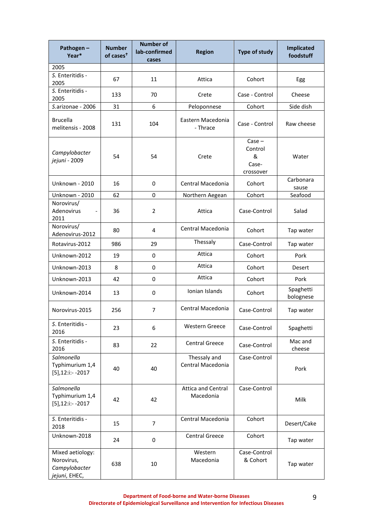| Pathogen-<br>Year*                                               | <b>Number</b><br>of cases <sup>t</sup> | <b>Number of</b><br>lab-confirmed<br>cases | <b>Region</b>                          | <b>Type of study</b>                           | <b>Implicated</b><br>foodstuff |
|------------------------------------------------------------------|----------------------------------------|--------------------------------------------|----------------------------------------|------------------------------------------------|--------------------------------|
| 2005                                                             |                                        |                                            |                                        |                                                |                                |
| S. Enteritidis -<br>2005                                         | 67                                     | 11                                         | Attica                                 | Cohort                                         | Egg                            |
| S. Enteritidis -<br>2005                                         | 133                                    | 70                                         | Crete                                  | Case - Control                                 | Cheese                         |
| S.arizonae - 2006                                                | 31                                     | 6                                          | Peloponnese                            | Cohort                                         | Side dish                      |
| <b>Brucella</b><br>melitensis - 2008                             | 131                                    | 104                                        | Eastern Macedonia<br>- Thrace          | Case - Control                                 | Raw cheese                     |
| Campylobacter<br>jejuni - 2009                                   | 54                                     | 54                                         | Crete                                  | $Case -$<br>Control<br>&<br>Case-<br>crossover | Water                          |
| <b>Unknown - 2010</b>                                            | 16                                     | 0                                          | Central Macedonia                      | Cohort                                         | Carbonara<br>sause             |
| Unknown - 2010                                                   | 62                                     | 0                                          | Northern Aegean                        | Cohort                                         | Seafood                        |
| Norovirus/<br>Adenovirus<br>2011                                 | 36                                     | $\overline{2}$                             | Attica                                 | Case-Control                                   | Salad                          |
| Norovirus/<br>Adenovirus-2012                                    | 80                                     | 4                                          | Central Macedonia                      | Cohort                                         | Tap water                      |
| Rotavirus-2012                                                   | 986                                    | 29                                         | Thessaly                               | Case-Control                                   | Tap water                      |
| Unknown-2012                                                     | 19                                     | 0                                          | Attica                                 | Cohort                                         | Pork                           |
| Unknown-2013                                                     | 8                                      | 0                                          | Attica                                 | Cohort                                         | Desert                         |
| Unknown-2013                                                     | 42                                     | 0                                          | Attica                                 | Cohort                                         | Pork                           |
| Unknown-2014                                                     | 13                                     | 0                                          | Ionian Islands                         | Cohort                                         | Spaghetti<br>bolognese         |
| Norovirus-2015                                                   | 256                                    | 7                                          | Central Macedonia                      | Case-Control                                   | Tap water                      |
| S. Enteritidis -<br>2016                                         | 23                                     | 6                                          | <b>Western Greece</b>                  | Case-Control                                   | Spaghetti                      |
| S. Enteritidis -<br>2016                                         | 83                                     | 22                                         | <b>Central Greece</b>                  | Case-Control                                   | Mac and<br>cheese              |
| Salmonella<br>Typhimurium 1,4<br>$[5]$ , 12:i: - - 2017          | 40                                     | 40                                         | Thessaly and<br>Central Macedonia      | Case-Control                                   | Pork                           |
| Salmonella<br>Typhimurium 1,4<br>$[5]$ , 12:i: - - 2017          | 42                                     | 42                                         | <b>Attica and Central</b><br>Macedonia | Case-Control                                   | Milk                           |
| S. Enteritidis -<br>2018                                         | 15                                     | 7                                          | Central Macedonia                      | Cohort                                         | Desert/Cake                    |
| Unknown-2018                                                     | 24                                     | 0                                          | Central Greece                         | Cohort                                         | Tap water                      |
| Mixed aetiology:<br>Norovirus,<br>Campylobacter<br>jejuni, EHEC, | 638                                    | 10                                         | Western<br>Macedonia                   | Case-Control<br>& Cohort                       | Tap water                      |